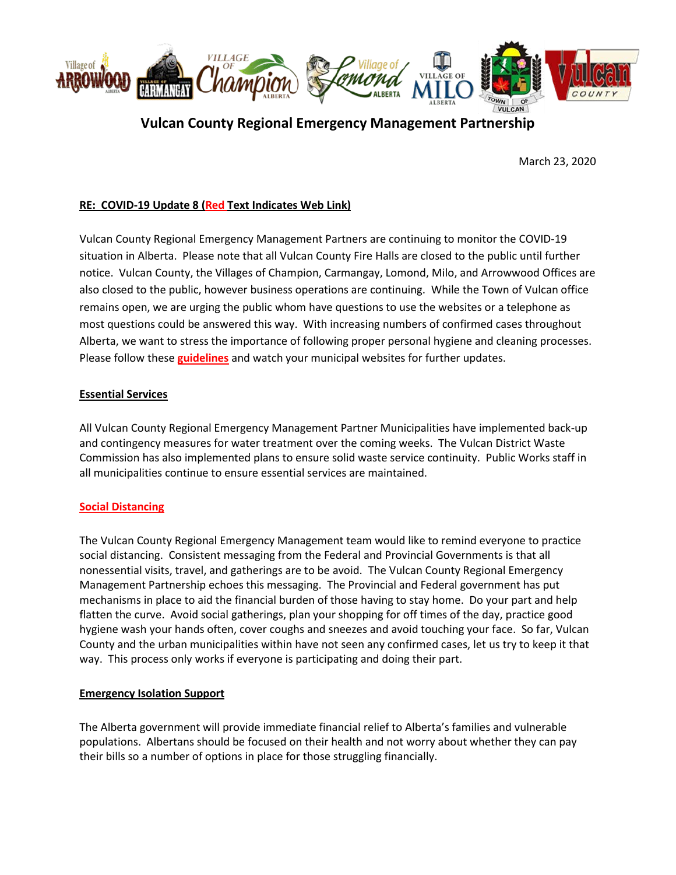

# **Vulcan County Regional Emergency Management Partnership**

March 23, 2020

# **RE: COVID-19 Update 8 (Red Text Indicates Web Link)**

Vulcan County Regional Emergency Management Partners are continuing to monitor the COVID-19 situation in Alberta. Please note that all Vulcan County Fire Halls are closed to the public until further notice. Vulcan County, the Villages of Champion, Carmangay, Lomond, Milo, and Arrowwood Offices are also closed to the public, however business operations are continuing. While the Town of Vulcan office remains open, we are urging the public whom have questions to use the websites or a telephone as most questions could be answered this way. With increasing numbers of confirmed cases throughout Alberta, we want to stress the importance of following proper personal hygiene and cleaning processes. Please follow these **[guidelines](https://www.albertahealthservices.ca/topics/Page16997.aspx#sign)** and watch your municipal websites for further updates.

## **Essential Services**

All Vulcan County Regional Emergency Management Partner Municipalities have implemented back-up and contingency measures for water treatment over the coming weeks. The Vulcan District Waste Commission has also implemented plans to ensure solid waste service continuity. Public Works staff in all municipalities continue to ensure essential services are maintained.

#### **[Social Distancing](https://www.alberta.ca/prevent-the-spread.aspx#p25621s3)**

The Vulcan County Regional Emergency Management team would like to remind everyone to practice social distancing. Consistent messaging from the Federal and Provincial Governments is that all nonessential visits, travel, and gatherings are to be avoid. The Vulcan County Regional Emergency Management Partnership echoes this messaging. The Provincial and Federal government has put mechanisms in place to aid the financial burden of those having to stay home. Do your part and help flatten the curve. Avoid social gatherings, plan your shopping for off times of the day, practice good hygiene wash your hands often, cover coughs and sneezes and avoid touching your face. So far, Vulcan County and the urban municipalities within have not seen any confirmed cases, let us try to keep it that way. This process only works if everyone is participating and doing their part.

#### **Emergency Isolation Support**

The Alberta government will provide immediate financial relief to Alberta's families and vulnerable populations. Albertans should be focused on their health and not worry about whether they can pay their bills so a number of options in place for those struggling financially.